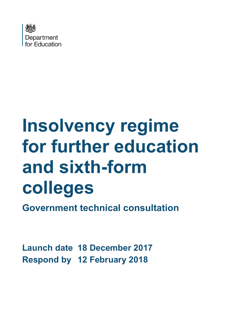

# **Insolvency regime for further education and sixth-form colleges**

**Government technical consultation**

**Launch date 18 December 2017 Respond by 12 February 2018**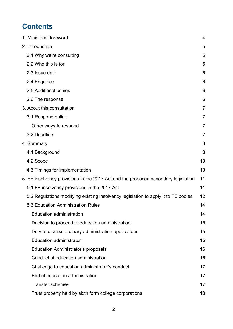# **Contents**

|  | 1. Ministerial foreword                                                            | 4              |
|--|------------------------------------------------------------------------------------|----------------|
|  | 2. Introduction                                                                    | 5              |
|  | 2.1 Why we're consulting                                                           | 5              |
|  | 2.2 Who this is for                                                                | 5              |
|  | 2.3 Issue date                                                                     | 6              |
|  | 2.4 Enquiries                                                                      | 6              |
|  | 2.5 Additional copies                                                              | 6              |
|  | 2.6 The response                                                                   | 6              |
|  | 3. About this consultation                                                         | $\overline{7}$ |
|  | 3.1 Respond online                                                                 | 7              |
|  | Other ways to respond                                                              | $\overline{7}$ |
|  | 3.2 Deadline                                                                       | $\overline{7}$ |
|  | 4. Summary                                                                         | 8              |
|  | 4.1 Background                                                                     | 8              |
|  | 4.2 Scope                                                                          | 10             |
|  | 4.3 Timings for implementation                                                     | 10             |
|  | 5. FE insolvency provisions in the 2017 Act and the proposed secondary legislation | 11             |
|  | 5.1 FE insolvency provisions in the 2017 Act                                       | 11             |
|  | 5.2 Regulations modifying existing insolvency legislation to apply it to FE bodies | 12             |
|  | 5.3 Education Administration Rules                                                 | 14             |
|  | <b>Education administration</b>                                                    | 14             |
|  | Decision to proceed to education administration                                    | 15             |
|  | Duty to dismiss ordinary administration applications                               | 15             |
|  | <b>Education administrator</b>                                                     | 15             |
|  | <b>Education Administrator's proposals</b>                                         | 16             |
|  | Conduct of education administration                                                | 16             |
|  | Challenge to education administrator's conduct                                     | 17             |
|  | End of education administration                                                    | 17             |
|  | <b>Transfer schemes</b>                                                            | 17             |
|  | Trust property held by sixth form college corporations                             | 18             |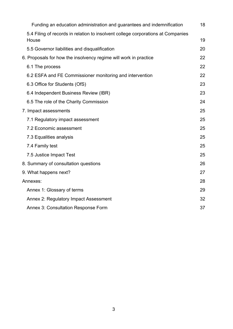|  | Funding an education administration and guarantees and indemnification                    | 18 |
|--|-------------------------------------------------------------------------------------------|----|
|  | 5.4 Filing of records in relation to insolvent college corporations at Companies<br>House | 19 |
|  | 5.5 Governor liabilities and disqualification                                             | 20 |
|  | 6. Proposals for how the insolvency regime will work in practice                          | 22 |
|  | 6.1 The process                                                                           | 22 |
|  | 6.2 ESFA and FE Commissioner monitoring and intervention                                  | 22 |
|  | 6.3 Office for Students (OfS)                                                             | 23 |
|  | 6.4 Independent Business Review (IBR)                                                     | 23 |
|  | 6.5 The role of the Charity Commission                                                    | 24 |
|  | 7. Impact assessments                                                                     | 25 |
|  | 7.1 Regulatory impact assessment                                                          | 25 |
|  | 7.2 Economic assessment                                                                   | 25 |
|  | 7.3 Equalities analysis                                                                   | 25 |
|  | 7.4 Family test                                                                           | 25 |
|  | 7.5 Justice Impact Test                                                                   | 25 |
|  | 8. Summary of consultation questions                                                      | 26 |
|  | 9. What happens next?                                                                     | 27 |
|  | Annexes:                                                                                  | 28 |
|  | Annex 1: Glossary of terms                                                                | 29 |
|  | Annex 2: Regulatory Impact Assessment                                                     | 32 |
|  | <b>Annex 3: Consultation Response Form</b>                                                | 37 |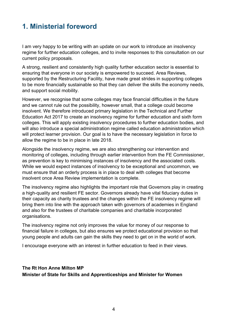# <span id="page-3-0"></span>**1. Ministerial foreword**

I am very happy to be writing with an update on our work to introduce an insolvency regime for further education colleges, and to invite responses to this consultation on our current policy proposals.

A strong, resilient and consistently high quality further education sector is essential to ensuring that everyone in our society is empowered to succeed. Area Reviews, supported by the Restructuring Facility, have made great strides in supporting colleges to be more financially sustainable so that they can deliver the skills the economy needs, and support social mobility.

However, we recognise that some colleges may face financial difficulties in the future and we cannot rule out the possibility, however small, that a college could become insolvent. We therefore introduced primary legislation in the Technical and Further Education Act 2017 to create an insolvency regime for further education and sixth form colleges. This will apply existing insolvency procedures to further education bodies, and will also introduce a special administration regime called education administration which will protect learner provision. Our goal is to have the necessary legislation in force to allow the regime to be in place in late 2018.

Alongside the insolvency regime, we are also strengthening our intervention and monitoring of colleges, including through earlier intervention from the FE Commissioner, as prevention is key to minimising instances of insolvency and the associated costs. While we would expect instances of insolvency to be exceptional and uncommon, we must ensure that an orderly process is in place to deal with colleges that become insolvent once Area Review implementation is complete.

The insolvency regime also highlights the important role that Governors play in creating a high-quality and resilient FE sector. Governors already have vital fiduciary duties in their capacity as charity trustees and the changes within the FE insolvency regime will bring them into line with the approach taken with governors of academies in England and also for the trustees of charitable companies and charitable incorporated organisations.

The insolvency regime not only improves the value for money of our response to financial failure in colleges, but also ensures we protect educational provision so that young people and adults can gain the skills they need to get on in the world of work.

I encourage everyone with an interest in further education to feed in their views.

**The Rt Hon Anne Milton MP Minister of State for Skills and Apprenticeships and Minister for Women**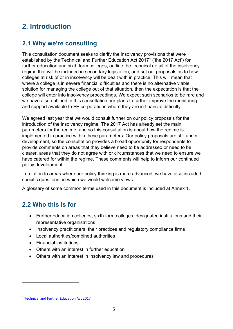# <span id="page-4-0"></span>**2. Introduction**

# <span id="page-4-1"></span>**2.1 Why we're consulting**

This consultation document seeks to clarify the insolvency provisions that were established by the Technical and Further Education Act 20[1](#page-4-3)7<sup>1</sup> ('the 2017 Act') for further education and sixth form colleges, outline the technical detail of the insolvency regime that will be included in secondary legislation, and set out proposals as to how colleges at risk of or in insolvency will be dealt with in practice. This will mean that where a college is in severe financial difficulties and there is no alternative viable solution for managing the college out of that situation, then the expectation is that the college will enter into insolvency proceedings. We expect such scenarios to be rare and we have also outlined in this consultation our plans to further improve the monitoring and support available to FE corporations where they are in financial difficulty.

We agreed last year that we would consult further on our policy proposals for the introduction of the insolvency regime. The 2017 Act has already set the main parameters for the regime, and so this consultation is about how the regime is implemented in practice within these parameters. Our policy proposals are still under development, so the consultation provides a broad opportunity for respondents to provide comments on areas that they believe need to be addressed or need to be clearer, areas that they do not agree with or circumstances that we need to ensure we have catered for within the regime. These comments will help to inform our continued policy development.

In relation to areas where our policy thinking is more advanced, we have also included specific questions on which we would welcome views.

A glossary of some common terms used in this document is included at Annex 1.

### <span id="page-4-2"></span>**2.2 Who this is for**

- Further education colleges, sixth form colleges, designated institutions and their representative organisations
- Insolvency practitioners, their practices and regulatory compliance firms
- Local authorities/combined authorities
- Financial institutions
- Others with an interest in further education
- Others with an interest in insolvency law and procedures

 $\overline{a}$ 

<span id="page-4-3"></span><sup>1</sup> [Technical and Further Education Act 2017](http://www.legislation.gov.uk/ukpga/2017/19/contents/enacted)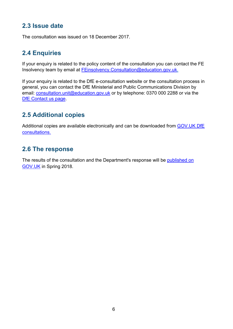# <span id="page-5-0"></span>**2.3 Issue date**

The consultation was issued on 18 December 2017.

# <span id="page-5-1"></span>**2.4 Enquiries**

If your enquiry is related to the policy content of the consultation you can contact the FE Insolvency team by email at [FEinsolvency.Consultation@education.gov.uk.](mailto:FEinsolvency.Consultation@education.gov.uk)

If your enquiry is related to the DfE e-consultation website or the consultation process in general, you can contact the DfE Ministerial and Public Communications Division by email: [consultation.unit@education.gov.uk](mailto:consultation.unit@education.gov.uk) or by telephone: 0370 000 2288 or via the [DfE Contact us page.](https://www.education.gov.uk/help/contactus)

# <span id="page-5-2"></span>**2.5 Additional copies**

Additional copies are available electronically and can be downloaded from [GOV.UK DfE](https://www.gov.uk/government/publications?keywords=&publication_filter_option=consultations&topics%5B%5D=all&departments%5B%5D=department-for-education&official_document_status=all&world_locations%5B%5D=all&from_date=&to_date=&commit=Refresh+results)  [consultations.](https://www.gov.uk/government/publications?keywords=&publication_filter_option=consultations&topics%5B%5D=all&departments%5B%5D=department-for-education&official_document_status=all&world_locations%5B%5D=all&from_date=&to_date=&commit=Refresh+results)

# <span id="page-5-3"></span>**2.6 The response**

The results of the consultation and the Department's response will be [published on](https://www.gov.uk/government/publications?departments%5B%5D=department-for-education&publication_filter_option=consultations)  [GOV.UK](https://www.gov.uk/government/publications?departments%5B%5D=department-for-education&publication_filter_option=consultations) in Spring 2018.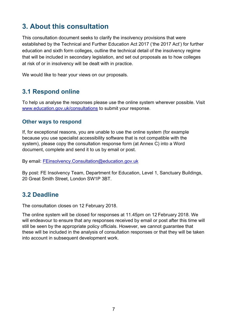# <span id="page-6-0"></span>**3. About this consultation**

This consultation document seeks to clarify the insolvency provisions that were established by the Technical and Further Education Act 2017 ('the 2017 Act') for further education and sixth form colleges, outline the technical detail of the insolvency regime that will be included in secondary legislation, and set out proposals as to how colleges at risk of or in insolvency will be dealt with in practice.

We would like to hear your views on our proposals.

### <span id="page-6-1"></span>**3.1 Respond online**

To help us analyse the responses please use the online system wherever possible. Visit [www.education.gov.uk/consultations](http://www.education.gov.uk/consultations) to submit your response.

#### <span id="page-6-2"></span>**Other ways to respond**

If, for exceptional reasons, you are unable to use the online system (for example because you use specialist accessibility software that is not compatible with the system), please copy the consultation response form (at Annex C) into a Word document, complete and send it to us by email or post.

By email: [FEinsolvency.Consultation@education.gov.uk](mailto:FEinsolvency.Consultation@education.gov.uk)

By post: FE Insolvency Team, Department for Education, Level 1, Sanctuary Buildings, 20 Great Smith Street, London SW1P 3BT.

### <span id="page-6-3"></span>**3.2 Deadline**

The consultation closes on 12 February 2018.

The online system will be closed for responses at 11.45pm on 12 February 2018. We will endeavour to ensure that any responses received by email or post after this time will still be seen by the appropriate policy officials. However, we cannot guarantee that these will be included in the analysis of consultation responses or that they will be taken into account in subsequent development work.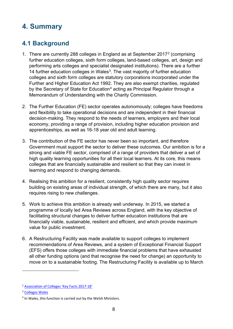# <span id="page-7-0"></span>**4. Summary**

# <span id="page-7-1"></span>**4.1 Background**

- 1. There are currently 288 colleges in England as at September 2017[2](#page-7-2) (comprising further education colleges, sixth form colleges, land-based colleges, art, design and performing arts colleges and specialist designated institutions). There are a further 14 further education colleges in Wales<sup>[3](#page-7-3)</sup>. The vast majority of further education colleges and sixth form colleges are statutory corporations incorporated under the Further and Higher Education Act 1992. They are also exempt charities, regulated by the Secretary of State for Education<sup>[4](#page-7-4)</sup> acting as Principal Regulator through a Memorandum of Understanding with the Charity Commission.
- 2. The Further Education (FE) sector operates autonomously; colleges have freedoms and flexibility to take operational decisions and are independent in their financial decision-making. They respond to the needs of learners, employers and their local economy, providing a range of provision, including higher education provision and apprenticeships, as well as 16-18 year old and adult learning.
- 3. The contribution of the FE sector has never been so important, and therefore Government must support the sector to deliver these outcomes. Our ambition is for a strong and viable FE sector, comprised of a range of providers that deliver a set of high quality learning opportunities for all their local learners. At its core, this means colleges that are financially sustainable and resilient so that they can invest in learning and respond to changing demands.
- 4. Realising this ambition for a resilient, consistently high quality sector requires building on existing areas of individual strength, of which there are many, but it also requires rising to new challenges.
- 5. Work to achieve this ambition is already well underway. In 2015, we started a programme of locally led Area Reviews across England, with the key objective of facilitating structural changes to deliver further education institutions that are financially viable, sustainable, resilient and efficient, and which provide maximum value for public investment.
- 6. A Restructuring Facility was made available to support colleges to implement recommendations of Area Reviews, and a system of Exceptional Financial Support (EFS) offers those colleges with immediate financial problems that have exhausted all other funding options (and that recognise the need for change) an opportunity to move on to a sustainable footing. The Restructuring Facility is available up to March

 $\overline{a}$ 

<span id="page-7-2"></span><sup>2</sup> [Association of Colleges 'Key Facts 2017-18'](https://www.aoc.co.uk/sites/default/files/AoC%20College%20Key%20Facts%20201718%20%28web%29.pdf)

<span id="page-7-3"></span><sup>3</sup> [Colleges Wales](http://collegeswales.ac.uk/Find-a-College)

<span id="page-7-4"></span><sup>&</sup>lt;sup>4</sup> In Wales, this function is carried out by the Welsh Ministers.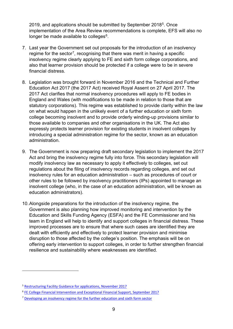2019, and applications should be submitted by September 2018<sup>[5](#page-8-0)</sup>. Once implementation of the Area Review recommendations is complete, EFS will also no longer be made available to colleges<sup>[6](#page-8-1)</sup>.

- 7. Last year the Government set out proposals for the introduction of an insolvency regime for the sector<sup>7</sup>, recognising that there was merit in having a specific insolvency regime clearly applying to FE and sixth form college corporations, and also that learner provision should be protected if a college were to be in severe financial distress.
- 8. Legislation was brought forward in November 2016 and the Technical and Further Education Act 2017 (the 2017 Act) received Royal Assent on 27 April 2017. The 2017 Act clarifies that normal insolvency procedures will apply to FE bodies in England and Wales (with modifications to be made in relation to those that are statutory corporations). This regime was established to provide clarity within the law on what would happen in the unlikely event of a further education or sixth form college becoming insolvent and to provide orderly winding-up provisions similar to those available to companies and other organisations in the UK. The Act also expressly protects learner provision for existing students in insolvent colleges by introducing a special administration regime for the sector, known as an education administration.
- 9. The Government is now preparing draft secondary legislation to implement the 2017 Act and bring the insolvency regime fully into force. This secondary legislation will modify insolvency law as necessary to apply it effectively to colleges, set out regulations about the filing of insolvency records regarding colleges, and set out insolvency rules for an education administration – such as procedures of court or other rules to be followed by insolvency practitioners (IPs) appointed to manage an insolvent college (who, in the case of an education administration, will be known as education administrators).
- 10.Alongside preparations for the introduction of the insolvency regime, the Government is also planning how improved monitoring and intervention by the Education and Skills Funding Agency (ESFA) and the FE Commissioner and his team in England will help to identify and support colleges in financial distress. These improved processes are to ensure that where such cases are identified they are dealt with efficiently and effectively to protect learner provision and minimise disruption to those affected by the college's position. The emphasis will be on offering early intervention to support colleges, in order to further strengthen financial resilience and sustainability where weaknesses are identified.

 $\overline{a}$ 

<span id="page-8-0"></span><sup>5</sup> [Restructuring Facility Guidance for applications, November 2017](https://www.gov.uk/government/uploads/system/uploads/attachment_data/file/657172/Restructuring_Facility_Guidance_November_2017.pdf)

<span id="page-8-1"></span><sup>6</sup> [FE College Financial Intervention and Exceptional Financial Support, September 2017](https://www.gov.uk/government/uploads/system/uploads/attachment_data/file/643602/FE_college_financial_intervention_and_exceptional_financial_support.pdf)

<span id="page-8-2"></span><sup>7</sup> [Developing an insolvency regime for the further education and sixth form sector](https://www.gov.uk/government/consultations/developing-an-insolvency-regime-for-the-further-education-and-sixth-form-sector)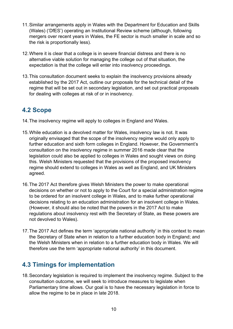- 11.Similar arrangements apply in Wales with the Department for Education and Skills (Wales) ('DfES') operating an Institutional Review scheme (although, following mergers over recent years in Wales, the FE sector is much smaller in scale and so the risk is proportionally less).
- 12.Where it is clear that a college is in severe financial distress and there is no alternative viable solution for managing the college out of that situation, the expectation is that the college will enter into insolvency proceedings.
- 13.This consultation document seeks to explain the insolvency provisions already established by the 2017 Act, outline our proposals for the technical detail of the regime that will be set out in secondary legislation, and set out practical proposals for dealing with colleges at risk of or in insolvency.

# <span id="page-9-0"></span>**4.2 Scope**

- 14.The insolvency regime will apply to colleges in England and Wales.
- 15.While education is a devolved matter for Wales, insolvency law is not. It was originally envisaged that the scope of the insolvency regime would only apply to further education and sixth form colleges in England. However, the Government's consultation on the insolvency regime in summer 2016 made clear that the legislation could also be applied to colleges in Wales and sought views on doing this. Welsh Ministers requested that the provisions of the proposed insolvency regime should extend to colleges in Wales as well as England, and UK Ministers agreed.
- 16.The 2017 Act therefore gives Welsh Ministers the power to make operational decisions on whether or not to apply to the Court for a special administration regime to be ordered for an insolvent college in Wales, and to make further operational decisions relating to an education administration for an insolvent college in Wales. (However, it should also be noted that the powers in the 2017 Act to make regulations about insolvency rest with the Secretary of State, as these powers are not devolved to Wales).
- 17.The 2017 Act defines the term 'appropriate national authority' in this context to mean the Secretary of State when in relation to a further education body in England; and the Welsh Ministers when in relation to a further education body in Wales. We will therefore use the term 'appropriate national authority' in this document.

# <span id="page-9-1"></span>**4.3 Timings for implementation**

18.Secondary legislation is required to implement the insolvency regime. Subject to the consultation outcome, we will seek to introduce measures to legislate when Parliamentary time allows. Our goal is to have the necessary legislation in force to allow the regime to be in place in late 2018.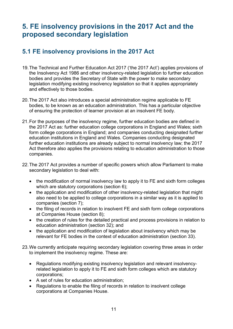# <span id="page-10-0"></span>**5. FE insolvency provisions in the 2017 Act and the proposed secondary legislation**

# <span id="page-10-1"></span>**5.1 FE insolvency provisions in the 2017 Act**

- 19.The Technical and Further Education Act 2017 ('the 2017 Act') applies provisions of the Insolvency Act 1986 and other insolvency-related legislation to further education bodies and provides the Secretary of State with the power to make secondary legislation modifying existing insolvency legislation so that it applies appropriately and effectively to those bodies.
- 20.The 2017 Act also introduces a special administration regime applicable to FE bodies, to be known as an education administration. This has a particular objective of ensuring the protection of learner provision at an insolvent FE body.
- 21.For the purposes of the insolvency regime, further education bodies are defined in the 2017 Act as: further education college corporations in England and Wales; sixth form college corporations in England; and companies conducting designated further education institutions in England and Wales. Companies conducting designated further education institutions are already subject to normal insolvency law; the 2017 Act therefore also applies the provisions relating to education administration to those companies.
- 22.The 2017 Act provides a number of specific powers which allow Parliament to make secondary legislation to deal with:
	- the modification of normal insolvency law to apply it to FE and sixth form colleges which are statutory corporations (section 6);
	- the application and modification of other insolvency-related legislation that might also need to be applied to college corporations in a similar way as it is applied to companies (section 7);
	- the filing of records in relation to insolvent FE and sixth form college corporations at Companies House (section 8);
	- the creation of rules for the detailed practical and process provisions in relation to education administration (section 32); and
	- the application and modification of legislation about insolvency which may be relevant for FE bodies in the context of education administration (section 33).
- 23.We currently anticipate requiring secondary legislation covering three areas in order to implement the insolvency regime. These are:
	- Regulations modifying existing insolvency legislation and relevant insolvencyrelated legislation to apply it to FE and sixth form colleges which are statutory corporations;
	- A set of rules for education administration;
	- Regulations to enable the filing of records in relation to insolvent college corporations at Companies House.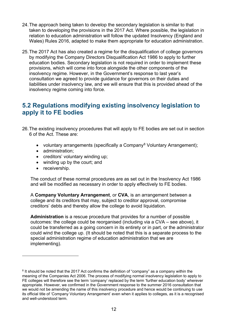- 24.The approach being taken to develop the secondary legislation is similar to that taken to developing the provisions in the 2017 Act. Where possible, the legislation in relation to education administration will follow the updated Insolvency (England and Wales) Rules 2016, adapted to make them appropriate for education administration.
- 25.The 2017 Act has also created a regime for the disqualification of college governors by modifying the Company Directors Disqualification Act 1986 to apply to further education bodies. Secondary legislation is not required in order to implement these provisions, which will come into force alongside the other components of the insolvency regime. However, in the Government's response to last year's consultation we agreed to provide guidance for governors on their duties and liabilities under insolvency law, and we will ensure that this is provided ahead of the insolvency regime coming into force.

### <span id="page-11-0"></span>**5.2 Regulations modifying existing insolvency legislation to apply it to FE bodies**

- 26.The existing insolvency procedures that will apply to FE bodies are set out in section 6 of the Act. These are:
	- voluntary arrangements (specifically a Company<sup>[8](#page-11-1)</sup> Voluntary Arrangement);
	- administration;
	- creditors' voluntary winding up;
	- winding up by the court; and
	- receivership.

 $\overline{a}$ 

The conduct of these normal procedures are as set out in the Insolvency Act 1986 and will be modified as necessary in order to apply effectively to FE bodies.

A **Company Voluntary Arrangement**, or **CVA**, is an arrangement between a college and its creditors that may, subject to creditor approval, compromise creditors' debts and thereby allow the college to avoid liquidation.

**Administration** is a rescue procedure that provides for a number of possible outcomes: the college could be reorganised (including via a CVA – see above), it could be transferred as a going concern in its entirety or in part, or the administrator could wind the college up. (It should be noted that this is a separate process to the special administration regime of education administration that we are implementing).

<span id="page-11-1"></span><sup>&</sup>lt;sup>8</sup> It should be noted that the 2017 Act confirms the definition of "company" as a company within the meaning of the Companies Act 2006. The process of modifying normal insolvency legislation to apply to FE colleges will therefore see the term 'company' replaced by the term 'further education body' wherever appropriate. However, we confirmed in the Government response to the summer 2016 consultation that we would not be amending the name of this insolvency procedure and hence would be continuing to use its official title of 'Company Voluntary Arrangement' even when it applies to colleges, as it is a recognised and well-understood term.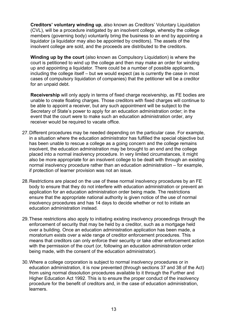**Creditors' voluntary winding up**, also known as Creditors' Voluntary Liquidation (CVL), will be a procedure instigated by an insolvent college, whereby the college members (governing body) voluntarily bring the business to an end by appointing a liquidator (a liquidator may also be appointed by creditors). The assets of the insolvent college are sold, and the proceeds are distributed to the creditors.

**Winding up by the court** (also known as Compulsory Liquidation) is where the court is petitioned to wind up the college and then may make an order for winding up and appointing a liquidator. There could be a number of possible applicants, including the college itself – but we would expect (as is currently the case in most cases of compulsory liquidation of companies) that the petitioner will be a creditor for an unpaid debt.

**Receivership** will only apply in terms of fixed charge receivership, as FE bodies are unable to create floating charges. Those creditors with fixed charges will continue to be able to appoint a receiver, but any such appointment will be subject to the Secretary of State's power to apply for an education administration order; in the event that the court were to make such an education administration order, any receiver would be required to vacate office.

- 27.Different procedures may be needed depending on the particular case. For example, in a situation where the education administrator has fulfilled the special objective but has been unable to rescue a college as a going concern and the college remains insolvent, the education administration may be brought to an end and the college placed into a normal insolvency procedure. In very limited circumstances, it might also be more appropriate for an insolvent college to be dealt with through an existing normal insolvency procedure rather than an education administration – for example, if protection of learner provision was not an issue.
- 28.Restrictions are placed on the use of these normal insolvency procedures by an FE body to ensure that they do not interfere with education administration or prevent an application for an education administration order being made. The restrictions ensure that the appropriate national authority is given notice of the use of normal insolvency procedures and has 14 days to decide whether or not to initiate an education administration instead.
- 29.These restrictions also apply to initiating existing insolvency proceedings through the enforcement of security that may be held by a creditor, such as a mortgage held over a building. Once an education administration application has been made, a moratorium exists over a wide range of creditor enforcement procedures. This means that creditors can only enforce their security or take other enforcement action with the permission of the court (or, following an education administration order being made, with the consent of the education administrator).
- 30.Where a college corporation is subject to normal insolvency procedures or in education administration, it is now prevented (through sections 37 and 38 of the Act) from using normal dissolution procedures available to it through the Further and Higher Education Act 1992. This is to ensure the proper conduct of the insolvency procedure for the benefit of creditors and, in the case of education administration, learners.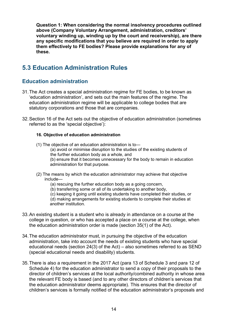**Question 1: When considering the normal insolvency procedures outlined above (Company Voluntary Arrangement, administration, creditors' voluntary winding up, winding up by the court and receivership), are there any specific modifications that you believe are required in order to apply them effectively to FE bodies? Please provide explanations for any of these.**

# <span id="page-13-0"></span>**5.3 Education Administration Rules**

#### <span id="page-13-1"></span>**Education administration**

- 31.The Act creates a special administration regime for FE bodies, to be known as 'education administration', and sets out the main features of the regime. The education administration regime will be applicable to college bodies that are statutory corporations and those that are companies.
- 32.Section 16 of the Act sets out the objective of education administration (sometimes referred to as the 'special objective'):

#### **16. Objective of education administration**

- (1) The objective of an education administration is to—
	- (a) avoid or minimise disruption to the studies of the existing students of the further education body as a whole, and
	- (b) ensure that it becomes unnecessary for the body to remain in education administration for that purpose.
- (2) The means by which the education administrator may achieve that objective include—
	- (a) rescuing the further education body as a going concern,
	- (b) transferring some or all of its undertaking to another body,
	- (c) keeping it going until existing students have completed their studies, or (d) making arrangements for existing students to complete their studies at another institution.
- 33.An existing student is a student who is already in attendance on a course at the college in question, or who has accepted a place on a course at the college, when the education administration order is made (section 35(1) of the Act).
- 34.The education administrator must, in pursuing the objective of the education administration, take into account the needs of existing students who have special educational needs (section 24(3) of the Act) – also sometimes referred to as SEND (special educational needs and disability) students.
- 35.There is also a requirement in the 2017 Act (para 13 of Schedule 3 and para 12 of Schedule 4) for the education administrator to send a copy of their proposals to the director of children's services at the local authority/combined authority in whose area the relevant FE body is based (and to any other directors of children's services that the education administrator deems appropriate). This ensures that the director of children's services is formally notified of the education administrator's proposals and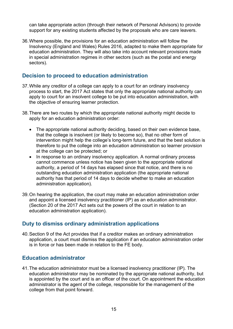can take appropriate action (through their network of Personal Advisors) to provide support for any existing students affected by the proposals who are care leavers.

36.Where possible, the provisions for an education administration will follow the Insolvency (England and Wales) Rules 2016, adapted to make them appropriate for education administration. They will also take into account relevant provisions made in special administration regimes in other sectors (such as the postal and energy sectors).

#### <span id="page-14-0"></span>**Decision to proceed to education administration**

- 37.While any creditor of a college can apply to a court for an ordinary insolvency process to start, the 2017 Act states that only the appropriate national authority can apply to court for an insolvent college to be put into education administration, with the objective of ensuring learner protection.
- 38.There are two routes by which the appropriate national authority might decide to apply for an education administration order:
	- The appropriate national authority deciding, based on their own evidence base, that the college is insolvent (or likely to become so), that no other form of intervention might help the college's long-term future, and that the best solution is therefore to put the college into an education administration so learner provision at the college can be protected; or
	- In response to an ordinary insolvency application. A normal ordinary process cannot commence unless notice has been given to the appropriate national authority, a period of 14 days has elapsed since that notice, and there is no outstanding education administration application (the appropriate national authority has that period of 14 days to decide whether to make an education administration application).
- 39.On hearing the application, the court may make an education administration order and appoint a licensed insolvency practitioner (IP) as an education administrator. (Section 20 of the 2017 Act sets out the powers of the court in relation to an education administration application).

#### <span id="page-14-1"></span>**Duty to dismiss ordinary administration applications**

40.Section 9 of the Act provides that if a creditor makes an ordinary administration application, a court must dismiss the application if an education administration order is in force or has been made in relation to the FE body.

#### <span id="page-14-2"></span>**Education administrator**

41.The education administrator must be a licensed insolvency practitioner (IP). The education administrator may be nominated by the appropriate national authority, but is appointed by the court and is an officer of the court. On appointment the education administrator is the agent of the college, responsible for the management of the college from that point forward.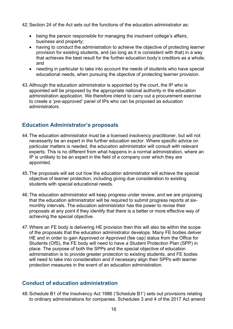42.Section 24 of the Act sets out the functions of the education administrator as:

- being the person responsible for managing the insolvent college's affairs, business and property;
- having to conduct the administration to achieve the objective of protecting learner provision for existing students, and (so long as it is consistent with that) in a way that achieves the best result for the further education body's creditors as a whole; and
- needing in particular to take into account the needs of students who have special educational needs, when pursuing the objective of protecting learner provision.
- 43.Although the education administrator is appointed by the court, the IP who is appointed will be proposed by the appropriate national authority in the education administration application. We therefore intend to carry out a procurement exercise to create a 'pre-approved' panel of IPs who can be proposed as education administrators.

#### <span id="page-15-0"></span>**Education Administrator's proposals**

- 44.The education administrator must be a licensed insolvency practitioner, but will not necessarily be an expert in the further education sector. Where specific advice on particular matters is needed, the education administrator will consult with relevant experts. This is no different from what happens in a normal administration, where an IP is unlikely to be an expert in the field of a company over which they are appointed.
- 45.The proposals will set out how the education administrator will achieve the special objective of learner protection, including giving due consideration to existing students with special educational needs.
- 46.The education administrator will keep progress under review, and we are proposing that the education administrator will be required to submit progress reports at sixmonthly intervals. The education administrator has the power to revise their proposals at any point if they identify that there is a better or more effective way of achieving the special objective.
- 47.Where an FE body is delivering HE provision then this will also be within the scope of the proposals that the education administrator develops. Many FE bodies deliver HE and in order to gain Approved or Approved (fee cap) status from the Office for Students (OfS), the FE body will need to have a Student Protection Plan (SPP) in place. The purpose of both the SPPs and the special objective of education administration is to provide greater protection to existing students, and FE bodies will need to take into consideration and if necessary align their SPPs with learner protection measures in the event of an education administration.

#### <span id="page-15-1"></span>**Conduct of education administration**

48.Schedule B1 of the Insolvency Act 1986 ('Schedule B1') sets out provisions relating to ordinary administrations for companies. Schedules 3 and 4 of the 2017 Act amend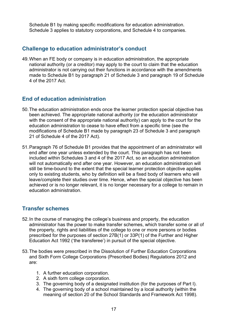Schedule B1 by making specific modifications for education administration. Schedule 3 applies to statutory corporations, and Schedule 4 to companies.

#### <span id="page-16-0"></span>**Challenge to education administrator's conduct**

49.When an FE body or company is in education administration, the appropriate national authority (or a creditor) may apply to the court to claim that the education administrator is not carrying out their functions in accordance with the amendments made to Schedule B1 by paragraph 21 of Schedule 3 and paragraph 19 of Schedule 4 of the 2017 Act.

#### <span id="page-16-1"></span>**End of education administration**

- 50.The education administration ends once the learner protection special objective has been achieved. The appropriate national authority (or the education administrator with the consent of the appropriate national authority) can apply to the court for the education administration to cease to have effect from a specific time (see the modifications of Schedule B1 made by paragraph 23 of Schedule 3 and paragraph 21 of Schedule 4 of the 2017 Act).
- 51.Paragraph 76 of Schedule B1 provides that the appointment of an administrator will end after one year unless extended by the court. This paragraph has not been included within Schedules 3 and 4 of the 2017 Act, so an education administration will not automatically end after one year. However, an education administration will still be time-bound to the extent that the special learner protection objective applies only to existing students, who by definition will be a fixed body of learners who will leave/complete their studies over time. Hence, when the special objective has been achieved or is no longer relevant, it is no longer necessary for a college to remain in education administration.

#### <span id="page-16-2"></span>**Transfer schemes**

- 52.In the course of managing the college's business and property, the education administrator has the power to make transfer schemes, which transfer some or all of the property, rights and liabilities of the college to one or more persons or bodies prescribed for the purposes of section 27B(1) or 33P(1) of the Further and Higher Education Act 1992 ('the transferee') in pursuit of the special objective.
- 53.The bodies were prescribed in the Dissolution of Further Education Corporations and Sixth Form College Corporations (Prescribed Bodies) Regulations 2012 and are:
	- 1. A further education corporation.
	- 2. A sixth form college corporation.
	- 3. The governing body of a designated institution (for the purposes of Part I).
	- 4. The governing body of a school maintained by a local authority (within the meaning of section 20 of the School Standards and Framework Act 1998).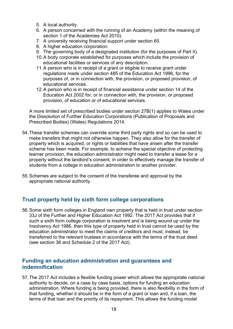- 5. A local authority.
- 6. A person concerned with the running of an Academy (within the meaning of section 1 of the Academies Act 2010).
- 7. A university receiving financial support under section 65.
- 8. A higher education corporation.
- 9. The governing body of a designated institution (for the purposes of Part II).
- 10.A body corporate established for purposes which include the provision of educational facilities or services of any description.
- 11.A person who is in receipt of a grant or eligible to receive grant under regulations made under section 485 of the Education Act 1996, for the purposes of, or in connection with, the provision, or proposed provision, of educational services.
- 12.A person who is in receipt of financial assistance under section 14 of the Education Act 2002 for, or in connection with, the provision, or proposed provision, of education or of educational services.

A more limited set of prescribed bodies under section 27B(1) applies to Wales under the Dissolution of Further Education Corporations (Publication of Proposals and Prescribed Bodies) (Wales) Regulations 2014.

- 54.These transfer schemes can override some third party rights and so can be used to make transfers that might not otherwise happen. They also allow for the transfer of property which is acquired, or rights or liabilities that have arisen after the transfer scheme has been made. For example, to achieve the special objective of protecting learner provision, the education administrator might need to transfer a lease for a property without the landlord's consent, in order to effectively manage the transfer of students from a college in education administration to another provider.
- 55.Schemes are subject to the consent of the transferee and approval by the appropriate national authority.

#### <span id="page-17-0"></span>**Trust property held by sixth form college corporations**

56.Some sixth form colleges in England own property that is held in trust under section 33J of the Further and Higher Education Act 1992. The 2017 Act provides that if such a sixth form college corporation is insolvent and is being wound up under the Insolvency Act 1986, then this type of property held in trust cannot be used by the education administrator to meet the claims of creditors and must, instead, be transferred to the relevant trustees in accordance with the terms of the trust deed (see section 36 and Schedule 2 of the 2017 Act).

#### <span id="page-17-1"></span>**Funding an education administration and guarantees and indemnification**

57.The 2017 Act includes a flexible funding power which allows the appropriate national authority to decide, on a case by case basis, options for funding an education administration. Where funding is being provided, there is also flexibility in the form of that funding, whether it should be in the form of a grant or loan and, if a loan, the terms of that loan and the priority of its repayment. This allows the funding model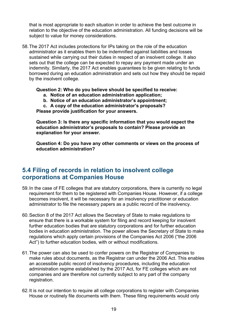that is most appropriate to each situation in order to achieve the best outcome in relation to the objective of the education administration. All funding decisions will be subject to value for money considerations.

58.The 2017 Act includes protections for IPs taking on the role of the education administrator as it enables them to be indemnified against liabilities and losses sustained while carrying out their duties in respect of an insolvent college. It also sets out that the college can be expected to repay any payment made under an indemnity. Similarly, the 2017 Act enables guarantees to be given relating to funds borrowed during an education administration and sets out how they should be repaid by the insolvent college.

#### **Question 2: Who do you believe should be specified to receive:**

- **a. Notice of an education administration application;**
- **b. Notice of an education administrator's appointment;**
- **c. A copy of the education administrator's proposals?**

**Please provide justification for your answers.**

**Question 3: Is there any specific information that you would expect the education administrator's proposals to contain? Please provide an explanation for your answer.**

**Question 4: Do you have any other comments or views on the process of education administration?**

### <span id="page-18-0"></span>**5.4 Filing of records in relation to insolvent college corporations at Companies House**

- 59.In the case of FE colleges that are statutory corporations, there is currently no legal requirement for them to be registered with Companies House. However, if a college becomes insolvent, it will be necessary for an insolvency practitioner or education administrator to file the necessary papers as a public record of the insolvency.
- 60.Section 8 of the 2017 Act allows the Secretary of State to make regulations to ensure that there is a workable system for filing and record keeping for insolvent further education bodies that are statutory corporations and for further education bodies in education administration. The power allows the Secretary of State to make regulations which apply certain provisions of the Companies Act 2006 ("the 2006 Act") to further education bodies, with or without modifications.
- 61.The power can also be used to confer powers on the Registrar of Companies to make rules about documents, as the Registrar can under the 2006 Act. This enables an accessible public record of insolvency procedures, including the education administration regime established by the 2017 Act, for FE colleges which are not companies and are therefore not currently subject to any part of the company registration.
- 62.It is not our intention to require all college corporations to register with Companies House or routinely file documents with them. These filing requirements would only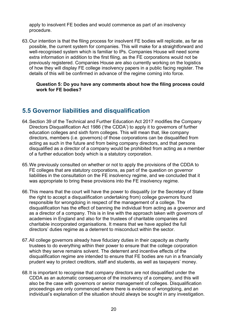apply to insolvent FE bodies and would commence as part of an insolvency procedure.

63.Our intention is that the filing process for insolvent FE bodies will replicate, as far as possible, the current system for companies. This will make for a straightforward and well-recognised system which is familiar to IPs. Companies House will need some extra information in addition to the first filing, as the FE corporations would not be previously registered. Companies House are also currently working on the logistics of how they will display FE college insolvency papers in a public facing register. The details of this will be confirmed in advance of the regime coming into force.

**Question 5: Do you have any comments about how the filing process could work for FE bodies?**

### <span id="page-19-0"></span>**5.5 Governor liabilities and disqualification**

- 64.Section 39 of the Technical and Further Education Act 2017 modifies the Company Directors Disqualification Act 1986 ('the CDDA') to apply it to governors of further education colleges and sixth form colleges. This will mean that, like company directors, members (i.e. governors) of those corporations can be disqualified from acting as such in the future and from being company directors, and that persons disqualified as a director of a company would be prohibited from acting as a member of a further education body which is a statutory corporation.
- 65.We previously consulted on whether or not to apply the provisions of the CDDA to FE colleges that are statutory corporations, as part of the question on governor liabilities in the consultation on the FE insolvency regime, and we concluded that it was appropriate to bring these provisions into the FE insolvency regime.
- 66.This means that the court will have the power to disqualify (or the Secretary of State the right to accept a disqualification undertaking from) college governors found responsible for wrongdoing in respect of the management of a college. The disqualification has the effect of banning the individual from acting as a governor and as a director of a company. This is in line with the approach taken with governors of academies in England and also for the trustees of charitable companies and charitable incorporated organisations. It means that we have applied the full directors' duties regime as a deterrent to misconduct within the sector.
- 67.All college governors already have fiduciary duties in their capacity as charity trustees to do everything within their power to ensure that the college corporation which they serve remains solvent. The deterrent and incentive effects of the disqualification regime are intended to ensure that FE bodies are run in a financially prudent way to protect creditors, staff and students, as well as taxpayers' money.
- 68.It is important to recognise that company directors are not disqualified under the CDDA as an automatic consequence of the insolvency of a company, and this will also be the case with governors or senior management of colleges. Disqualification proceedings are only commenced where there is evidence of wrongdoing, and an individual's explanation of the situation should always be sought in any investigation.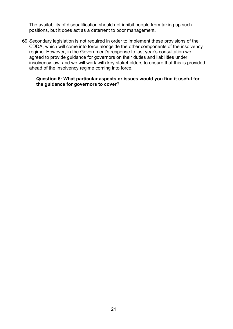The availability of disqualification should not inhibit people from taking up such positions, but it does act as a deterrent to poor management.

69.Secondary legislation is not required in order to implement these provisions of the CDDA, which will come into force alongside the other components of the insolvency regime. However, in the Government's response to last year's consultation we agreed to provide guidance for governors on their duties and liabilities under insolvency law, and we will work with key stakeholders to ensure that this is provided ahead of the insolvency regime coming into force.

#### **Question 6: What particular aspects or issues would you find it useful for the guidance for governors to cover?**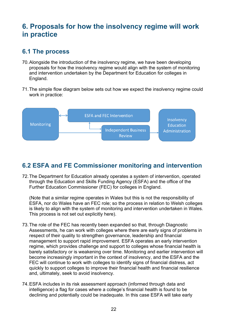# <span id="page-21-0"></span>**6. Proposals for how the insolvency regime will work in practice**

### <span id="page-21-1"></span>**6.1 The process**

- 70.Alongside the introduction of the insolvency regime, we have been developing proposals for how the insolvency regime would align with the system of monitoring and intervention undertaken by the Department for Education for colleges in England.
- 71.The simple flow diagram below sets out how we expect the insolvency regime could work in practice:



# <span id="page-21-2"></span>**6.2 ESFA and FE Commissioner monitoring and intervention**

72.The Department for Education already operates a system of intervention, operated through the Education and Skills Funding Agency (ESFA) and the office of the Further Education Commissioner (FEC) for colleges in England.

(Note that a similar regime operates in Wales but this is not the responsibility of ESFA, nor do Wales have an FEC role; so the process in relation to Welsh colleges is likely to align with the system of monitoring and intervention undertaken in Wales. This process is not set out explicitly here).

- 73.The role of the FEC has recently been expanded so that, through Diagnostic Assessments, he can work with colleges where there are early signs of problems in respect of their quality to strengthen governance, leadership and financial management to support rapid improvement. ESFA operates an early intervention regime, which provides challenge and support to colleges whose financial health is barely satisfactory or is weakening over time. Monitoring and earlier intervention will become increasingly important in the context of insolvency, and the ESFA and the FEC will continue to work with colleges to identify signs of financial distress, act quickly to support colleges to improve their financial health and financial resilience and, ultimately, seek to avoid insolvency.
- 74.ESFA includes in its risk assessment approach (informed through data and intelligence) a flag for cases where a college's financial health is found to be declining and potentially could be inadequate. In this case ESFA will take early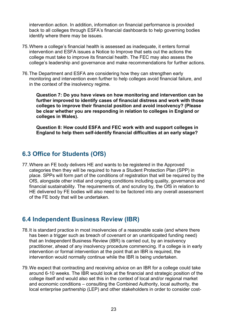intervention action. In addition, information on financial performance is provided back to all colleges through ESFA's financial dashboards to help governing bodies identify where there may be issues.

- 75.Where a college's financial health is assessed as inadequate, it enters formal intervention and ESFA issues a Notice to Improve that sets out the actions the college must take to improve its financial health. The FEC may also assess the college's leadership and governance and make recommendations for further actions.
- 76.The Department and ESFA are considering how they can strengthen early monitoring and intervention even further to help colleges avoid financial failure, and in the context of the insolvency regime.

**Question 7: Do you have views on how monitoring and intervention can be further improved to identify cases of financial distress and work with those colleges to improve their financial position and avoid insolvency? (Please be clear whether you are responding in relation to colleges in England or colleges in Wales).**

**Question 8: How could ESFA and FEC work with and support colleges in England to help them self-identify financial difficulties at an early stage?**

### <span id="page-22-0"></span>**6.3 Office for Students (OfS)**

77.Where an FE body delivers HE and wants to be registered in the Approved categories then they will be required to have a Student Protection Plan (SPP) in place. SPPs will form part of the conditions of registration that will be required by the OfS, alongside other initial and ongoing conditions including quality, governance and financial sustainability. The requirements of, and scrutiny by, the OfS in relation to HE delivered by FE bodies will also need to be factored into any overall assessment of the FE body that will be undertaken.

### <span id="page-22-1"></span>**6.4 Independent Business Review (IBR)**

- 78.It is standard practice in most insolvencies of a reasonable scale (and where there has been a trigger such as breach of covenant or an unanticipated funding need) that an Independent Business Review (IBR) is carried out, by an insolvency practitioner, ahead of any insolvency procedure commencing. If a college is in early intervention or formal intervention at the point that an IBR is required, the intervention would normally continue while the IBR is being undertaken.
- 79.We expect that contracting and receiving advice on an IBR for a college could take around 6-10 weeks. The IBR would look at the financial and strategic position of the college itself and would also set this in the context of local and/or regional market and economic conditions – consulting the Combined Authority, local authority, the local enterprise partnership (LEP) and other stakeholders in order to consider cost-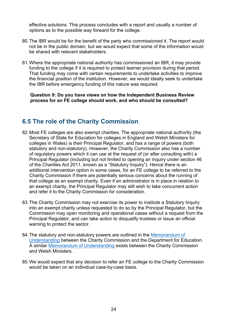effective solutions. This process concludes with a report and usually a number of options as to the possible way forward for the college.

- 80.The IBR would be for the benefit of the party who commissioned it. The report would not be in the public domain, but we would expect that some of the information would be shared with relevant stakeholders.
- 81.Where the appropriate national authority has commissioned an IBR, it may provide funding to the college if it is required to protect learner provision during that period. That funding may come with certain requirements to undertake activities to improve the financial position of the institution. However, we would ideally seek to undertake the IBR before emergency funding of this nature was required.

**Question 9: Do you have views on how the Independent Business Review process for an FE college should work, and who should be consulted?**

### <span id="page-23-0"></span>**6.5 The role of the Charity Commission**

- 82.Most FE colleges are also exempt charities. The appropriate national authority (the Secretary of State for Education for colleges in England and Welsh Ministers for colleges in Wales) is their Principal Regulator, and has a range of powers (both statutory and non-statutory). However, the Charity Commission also has a number of regulatory powers which it can use at the request of (or after consulting with) a Principal Regulator (including but not limited to opening an inquiry under section 46 of the Charities Act 2011, known as a "Statutory Inquiry"). Hence there is an additional intervention option in some cases, for an FE college to be referred to the Charity Commission if there are potentially serious concerns about the running of that college as an exempt charity. Even if an administrator is in place in relation to an exempt charity, the Principal Regulator may still wish to take concurrent action and refer it to the Charity Commission for consideration.
- 83.The Charity Commission may not exercise its power to institute a Statutory Inquiry into an exempt charity unless requested to do so by the Principal Regulator, but the Commission may open monitoring and operational cases without a request from the Principal Regulator, and can take action to disqualify trustees or issue an official warning to protect the sector.
- 84.The statutory and non-statutory powers are outlined in the [Memorandum of](https://www.gov.uk/government/uploads/system/uploads/attachment_data/file/640051/Charity_Commisison_-_Department_for_Education_-_MOU.pdf)  [Understanding](https://www.gov.uk/government/uploads/system/uploads/attachment_data/file/640051/Charity_Commisison_-_Department_for_Education_-_MOU.pdf) between the Charity Commission and the Department for Education. A similar [Memorandum of Understanding](https://www.gov.uk/government/uploads/system/uploads/attachment_data/file/429227/mou_welsh_pdf.pdf) exists between the Charity Commission and Welsh Ministers.
- 85.We would expect that any decision to refer an FE college to the Charity Commission would be taken on an individual case-by-case basis.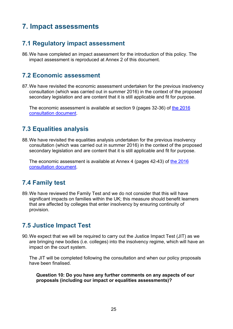# <span id="page-24-0"></span>**7. Impact assessments**

# <span id="page-24-1"></span>**7.1 Regulatory impact assessment**

86.We have completed an impact assessment for the introduction of this policy. The impact assessment is reproduced at Annex 2 of this document.

### <span id="page-24-2"></span>**7.2 Economic assessment**

87.We have revisited the economic assessment undertaken for the previous insolvency consultation (which was carried out in summer 2016) in the context of the proposed secondary legislation and are content that it is still applicable and fit for purpose.

The economic assessment is available at section 9 (pages 32-36) of the 2016 [consultation document.](https://www.gov.uk/government/uploads/system/uploads/attachment_data/file/534818/bis-16-320-consultation-developing-an-insolvency-regime-for-the-sector.pdf)

### <span id="page-24-3"></span>**7.3 Equalities analysis**

88.We have revisited the equalities analysis undertaken for the previous insolvency consultation (which was carried out in summer 2016) in the context of the proposed secondary legislation and are content that it is still applicable and fit for purpose.

The economic assessment is available at Annex 4 (pages 42-43) of [the 2016](https://www.gov.uk/government/uploads/system/uploads/attachment_data/file/534818/bis-16-320-consultation-developing-an-insolvency-regime-for-the-sector.pdf)  [consultation document.](https://www.gov.uk/government/uploads/system/uploads/attachment_data/file/534818/bis-16-320-consultation-developing-an-insolvency-regime-for-the-sector.pdf)

# <span id="page-24-4"></span>**7.4 Family test**

89.We have reviewed the Family Test and we do not consider that this will have significant impacts on families within the UK; this measure should benefit learners that are affected by colleges that enter insolvency by ensuring continuity of provision.

### <span id="page-24-5"></span>**7.5 Justice Impact Test**

90.We expect that we will be required to carry out the Justice Impact Test (JIT) as we are bringing new bodies (i.e. colleges) into the insolvency regime, which will have an impact on the court system.

The JIT will be completed following the consultation and when our policy proposals have been finalised.

**Question 10: Do you have any further comments on any aspects of our proposals (including our impact or equalities assessments)?**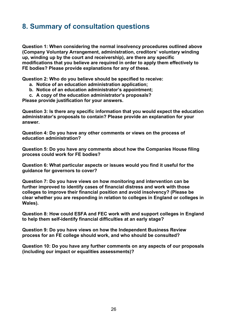# <span id="page-25-0"></span>**8. Summary of consultation questions**

**Question 1: When considering the normal insolvency procedures outlined above (Company Voluntary Arrangement, administration, creditors' voluntary winding up, winding up by the court and receivership), are there any specific modifications that you believe are required in order to apply them effectively to FE bodies? Please provide explanations for any of these.**

**Question 2: Who do you believe should be specified to receive:**

- **a. Notice of an education administration application;**
- **b. Notice of an education administrator's appointment;**
- **c. A copy of the education administrator's proposals?**

**Please provide justification for your answers.**

**Question 3: Is there any specific information that you would expect the education administrator's proposals to contain? Please provide an explanation for your answer.**

**Question 4: Do you have any other comments or views on the process of education administration?**

**Question 5: Do you have any comments about how the Companies House filing process could work for FE bodies?**

**Question 6: What particular aspects or issues would you find it useful for the guidance for governors to cover?**

**Question 7: Do you have views on how monitoring and intervention can be further improved to identify cases of financial distress and work with those colleges to improve their financial position and avoid insolvency? (Please be clear whether you are responding in relation to colleges in England or colleges in Wales).**

**Question 8: How could ESFA and FEC work with and support colleges in England to help them self-identify financial difficulties at an early stage?**

**Question 9: Do you have views on how the Independent Business Review process for an FE college should work, and who should be consulted?**

**Question 10: Do you have any further comments on any aspects of our proposals (including our impact or equalities assessments)?**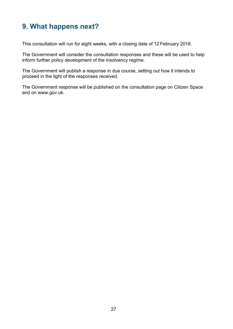# <span id="page-26-0"></span>**9. What happens next?**

This consultation will run for eight weeks, with a closing date of 12 February 2018.

The Government will consider the consultation responses and these will be used to help inform further policy development of the insolvency regime.

The Government will publish a response in due course, setting out how it intends to proceed in the light of the responses received.

The Government response will be published on the consultation page on Citizen Space and on www.gov.uk.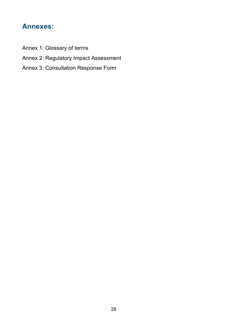# <span id="page-27-0"></span>**Annexes:**

- Annex 1: Glossary of terms
- Annex 2: Regulatory Impact Assessment
- Annex 3: Consultation Response Form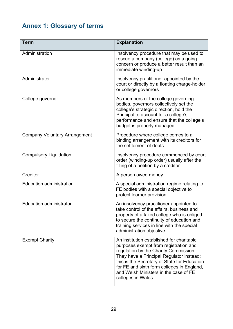# <span id="page-28-0"></span>**Annex 1: Glossary of terms**

| <b>Term</b>                          | <b>Explanation</b>                                                                                                                                                                                                                                                                                                                  |
|--------------------------------------|-------------------------------------------------------------------------------------------------------------------------------------------------------------------------------------------------------------------------------------------------------------------------------------------------------------------------------------|
| Administration                       | Insolvency procedure that may be used to<br>rescue a company (college) as a going<br>concern or produce a better result than an<br>immediate winding-up                                                                                                                                                                             |
| Administrator                        | Insolvency practitioner appointed by the<br>court or directly by a floating charge-holder<br>or college governors                                                                                                                                                                                                                   |
| College governor                     | As members of the college governing<br>bodies, governors collectively set the<br>college's strategic direction, hold the<br>Principal to account for a college's<br>performance and ensure that the college's<br>budget is properly managed                                                                                         |
| <b>Company Voluntary Arrangement</b> | Procedure where college comes to a<br>binding arrangement with its creditors for<br>the settlement of debts                                                                                                                                                                                                                         |
| <b>Compulsory Liquidation</b>        | Insolvency procedure commenced by court<br>order (winding-up order) usually after the<br>filling of a petition by a creditor                                                                                                                                                                                                        |
| Creditor                             | A person owed money                                                                                                                                                                                                                                                                                                                 |
| <b>Education administration</b>      | A special administration regime relating to<br>FE bodies with a special objective to<br>protect learner provision                                                                                                                                                                                                                   |
| <b>Education administrator</b>       | An insolvency practitioner appointed to<br>take control of the affairs, business and<br>property of a failed college who is obliged<br>to secure the continuity of education and<br>training services in line with the special<br>administration objective                                                                          |
| <b>Exempt Charity</b>                | An institution established for charitable<br>purposes exempt from registration and<br>regulation by the Charity Commission.<br>They have a Principal Regulator instead;<br>this is the Secretary of State for Education<br>for FE and sixth form colleges in England,<br>and Welsh Ministers in the case of FE<br>colleges in Wales |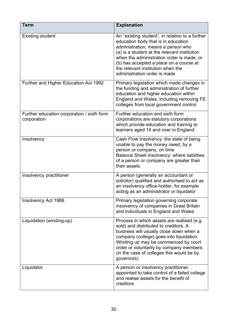| <b>Term</b>                                               | <b>Explanation</b>                                                                                                                                                                                                                                                                                                                        |
|-----------------------------------------------------------|-------------------------------------------------------------------------------------------------------------------------------------------------------------------------------------------------------------------------------------------------------------------------------------------------------------------------------------------|
| <b>Existing student</b>                                   | An "existing student", in relation to a further<br>education body that is in education<br>administration, means a person who<br>(a) is a student at the relevant institution<br>when the administration order is made, or<br>(b) has accepted a place on a course at<br>the relevant institution when the<br>administration order is made |
| Further and Higher Education Act 1992                     | Primary legislation which made changes in<br>the funding and administration of further<br>education and higher education within<br>England and Wales, including removing FE<br>colleges from local government control                                                                                                                     |
| Further education corporation / sixth form<br>corporation | Further education and sixth form<br>corporations are statutory corporations<br>which provide education and training to<br>learners aged 14 and over in England                                                                                                                                                                            |
| Insolvency                                                | Cash Flow Insolvency: the state of being<br>unable to pay the money owed, by a<br>person or company, on time<br>Balance Sheet Insolvency: where liabilities<br>of a person or company are greater than<br>their assets                                                                                                                    |
| Insolvency practitioner                                   | A person (generally an accountant or<br>solicitor) qualified and authorised to act as<br>an insolvency office-holder, for example<br>acting as an administrator or liquidator                                                                                                                                                             |
| Insolvency Act 1986                                       | Primary legislation governing corporate<br>insolvency of companies in Great Britain<br>and individuals in England and Wales                                                                                                                                                                                                               |
| Liquidation (winding-up)                                  | Process in which assets are realised (e.g.<br>sold) and distributed to creditors. A<br>business will usually close down when a<br>company (college) goes into liquidation.<br>Winding up may be commenced by court<br>order or voluntarily by company members<br>(in the case of colleges this would be by<br>governors)                  |
| Liquidator                                                | A person or insolvency practitioner,<br>appointed to take control of a failed college<br>and realise assets for the benefit of<br>creditors                                                                                                                                                                                               |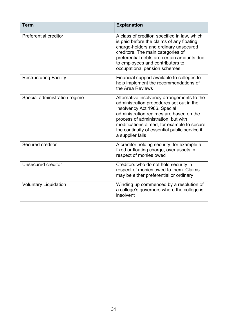| <b>Term</b>                   | <b>Explanation</b>                                                                                                                                                                                                                                                                                                          |
|-------------------------------|-----------------------------------------------------------------------------------------------------------------------------------------------------------------------------------------------------------------------------------------------------------------------------------------------------------------------------|
| <b>Preferential creditor</b>  | A class of creditor, specified in law, which<br>is paid before the claims of any floating<br>charge-holders and ordinary unsecured<br>creditors. The main categories of<br>preferential debts are certain amounts due<br>to employees and contributors to<br>occupational pension schemes                                   |
| <b>Restructuring Facility</b> | Financial support available to colleges to<br>help implement the recommendations of<br>the Area Reviews                                                                                                                                                                                                                     |
| Special administration regime | Alternative insolvency arrangements to the<br>administration procedures set out in the<br>Insolvency Act 1986. Special<br>administration regimes are based on the<br>process of administration, but with<br>modifications aimed, for example to secure<br>the continuity of essential public service if<br>a supplier fails |
| Secured creditor              | A creditor holding security, for example a<br>fixed or floating charge, over assets in<br>respect of monies owed                                                                                                                                                                                                            |
| Unsecured creditor            | Creditors who do not hold security in<br>respect of monies owed to them. Claims<br>may be either preferential or ordinary                                                                                                                                                                                                   |
| <b>Voluntary Liquidation</b>  | Winding up commenced by a resolution of<br>a college's governors where the college is<br>insolvent                                                                                                                                                                                                                          |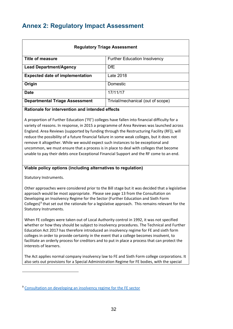# <span id="page-31-0"></span>**Annex 2: Regulatory Impact Assessment**

| <b>Regulatory Triage Assessment</b>    |                                     |  |
|----------------------------------------|-------------------------------------|--|
| <b>Title of measure</b>                | <b>Further Education Insolvency</b> |  |
| <b>Lead Department/Agency</b>          | <b>DfE</b>                          |  |
| <b>Expected date of implementation</b> | Late 2018                           |  |
| Origin                                 | Domestic                            |  |
| <b>Date</b>                            | 17/11/17                            |  |
| <b>Departmental Triage Assessment</b>  | Trivial/mechanical (out of scope)   |  |
|                                        | . .                                 |  |

#### **Rationale for intervention and intended effects**

A proportion of Further Education ('FE') colleges have fallen into financial difficulty for a variety of reasons. In response, in 2015 a programme of Area Reviews was launched across England. Area Reviews (supported by funding through the Restructuring Facility (RF)), will reduce the possibility of a future financial failure in some weak colleges, but it does not remove it altogether. While we would expect such instances to be exceptional and uncommon, we must ensure that a process is in place to deal with colleges that become unable to pay their debts once Exceptional Financial Support and the RF come to an end.

#### **Viable policy options (including alternatives to regulation)**

Statutory Instruments.

 $\overline{a}$ 

Other approaches were considered prior to the Bill stage but it was decided that a legislative approach would be most appropriate. Please see page 13 from the Consultation on Developing an Insolvency Regime for the Sector (Further Education and Sixth Form Colleges)<sup>[9](#page-31-1)</sup> that set out the rationale for a legislative approach. This remains relevant for the Statutory Instruments.

When FE colleges were taken out of Local Authority control in 1992, it was not specified whether or how they should be subject to insolvency procedures. The Technical and Further Education Act 2017 has therefore introduced an insolvency regime for FE and sixth form colleges in order to provide certainty in the event that a college becomes insolvent, to facilitate an orderly process for creditors and to put in place a process that can protect the interests of learners.

The Act applies normal company insolvency law to FE and Sixth Form college corporations. It also sets out provisions for a Special Administration Regime for FE bodies, with the special

<span id="page-31-1"></span><sup>&</sup>lt;sup>9</sup> [Consultation on developing an insolvency regime for the FE sector](https://www.gov.uk/government/uploads/system/uploads/attachment_data/file/534818/bis-16-320-consultation-developing-an-insolvency-regime-for-the-sector.pdf)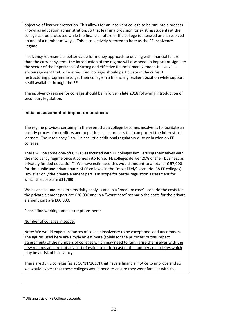objective of learner protection. This allows for an insolvent college to be put into a process known as education administration, so that learning provision for existing students at the college can be protected while the financial future of the college is assessed and is resolved (in one of a number of ways). This is collectively referred to here as the FE Insolvency Regime.

Insolvency represents a better value for money approach to dealing with financial failure than the current system. The introduction of the regime will also send an important signal to the sector of the importance of strong and effective financial management. It also gives encouragement that, where required, colleges should participate in the current restructuring programme to get their college in a financially resilient position while support is still available through the RF.

The insolvency regime for colleges should be in force in late 2018 following introduction of secondary legislation.

#### **Initial assessment of impact on business**

The regime provides certainty in the event that a college becomes insolvent, to facilitate an orderly process for creditors and to put in place a process that can protect the interests of learners. The Insolvency SIs will place little additional regulatory duty or burden on FE colleges.

There will be some one-off **COSTS** associated with FE colleges familiarising themselves with the insolvency regime once it comes into force. FE colleges deliver 20% of their business as privately funded education<sup>10</sup>. We have estimated this would amount to a total of £ 57,000 for the public and private parts of FE colleges in the "most likely" scenario (38 FE colleges). However only the private element part is in scope for better regulation assessment for which the costs are **£11,400.**

We have also undertaken sensitivity analysis and in a "medium case" scenario the costs for the private element part are £30,000 and in a "worst case" scenario the costs for the private element part are £60,000.

Please find workings and assumptions here:

Number of colleges in scope:

Note: We would expect instances of college insolvency to be exceptional and uncommon. The figures used here are simply an estimate (solely for the purposes of this impact assessment) of the numbers of colleges which may need to familiarise themselves with the new regime, and are not any sort of estimate or forecast of the numbers of colleges which may be at risk of insolvency.

There are 38 FE colleges (as at 16/11/2017) that have a financial notice to improve and so we would expect that these colleges would need to ensure they were familiar with the

 $\overline{a}$ 

<span id="page-32-0"></span><sup>&</sup>lt;sup>10</sup> DfE analysis of FE College accounts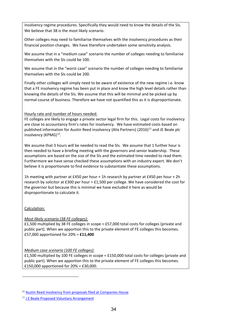insolvency regime procedures. Specifically they would need to know the details of the SIs. We believe that 38 is the most likely scenario.

Other colleges may need to familiarise themselves with the insolvency procedures as their financial position changes. We have therefore undertaken some sensitivity analysis.

We assume that in a "medium case" scenario the number of colleges needing to familiarise themselves with the SIs could be 100.

We assume that in the "worst case" scenario the number of colleges needing to familiarise themselves with the SIs could be 200.

Finally other colleges will simply need to be aware of existence of the new regime i.e. know that a FE insolvency regime has been put in place and know the high level details rather than knowing the details of the SIs. We assume that this will be minimal and be picked up by normal course of business. Therefore we have not quantified this as it is disproportionate.

#### Hourly rate and number of hours needed:

FE colleges are likely to engage a private sector legal firm for this. Legal costs for insolvency are close to accountancy firm's rates for insolvency. We have estimated costs based on published information for Austin Reed insolvency (Alix Partners) (2016)<sup>[11](#page-33-0)</sup> and JE Beale plc insolvency (KPMG)<sup>12</sup>.

We assume that 3 hours will be needed to read the SIs. We assume that 1 further hour is then needed to have a briefing meeting with the governors and senior leadership. These assumptions are based on the size of the SIs and the estimated time needed to read them. Furthermore we have sense checked these assumptions with an industry expert. We don't believe it is proportionate to find evidence to substantiate these assumptions.

1h meeting with partner at £450 per hour + 1h research by partner at £450 per hour + 2h research by solicitor at £300 per hour = £1,500 per college. We have considered the cost for the governor but because this is minimal we have excluded it here as would be disproportionate to calculate it.

Calculation:

 $\overline{a}$ 

#### *Most likely scenario (38 FE colleges):*

£1,500 multiplied by 38 FE colleges in scope = £57,000 total costs for colleges (private and public part). When we apportion this to the private element of FE colleges this becomes. £57,000 apportioned for 20% = **£11,400**

#### *Medium case scenario (100 FE colleges):*

£1,500 multiplied by 100 FE colleges in scope = £150,000 total costs for colleges (private and public part). When we apportion this to the private element of FE colleges this becomes. £150,000 apportioned for 20% = £30,000.

<span id="page-33-0"></span><sup>11</sup> [Austin Reed insolvency from proposals filed at Companies House](https://beta.companieshouse.gov.uk/company/00399575/filing-history)

<span id="page-33-1"></span><sup>12</sup> [J E Beale Proposed Voluntary Arrangement](http://www.insolvency-kpmg.co.uk/case+KPMG+PG22491724.html)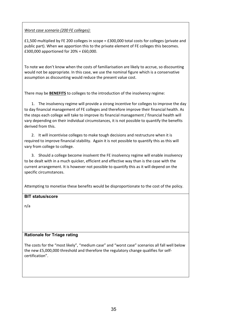#### *Worst case scenario (200 FE colleges):*

£1,500 multiplied by FE 200 colleges in scope = £300,000 total costs for colleges (private and public part). When we apportion this to the private element of FE colleges this becomes. £300,000 apportioned for 20% = £60,000.

To note we don't know when the costs of familiarisation are likely to accrue, so discounting would not be appropriate. In this case, we use the nominal figure which is a conservative assumption as discounting would reduce the present value cost.

There may be **BENEFITS** to colleges to the introduction of the insolvency regime:

1. The insolvency regime will provide a strong incentive for colleges to improve the day to day financial management of FE colleges and therefore improve their financial health. As the steps each college will take to improve its financial management / financial health will vary depending on their individual circumstances, it is not possible to quantify the benefits derived from this.

2. It will incentivise colleges to make tough decisions and restructure when it is required to improve financial stability. Again it is not possible to quantify this as this will vary from college to college.

3. Should a college become insolvent the FE insolvency regime will enable insolvency to be dealt with in a much quicker, efficient and effective way than is the case with the current arrangement. It is however not possible to quantify this as it will depend on the specific circumstances.

Attempting to monetise these benefits would be disproportionate to the cost of the policy.

#### **BIT status/score**

n/a

#### **Rationale for Triage rating**

The costs for the "most likely", "medium case" and "worst case" scenarios all fall well below the new £5,000,000 threshold and therefore the regulatory change qualifies for selfcertification".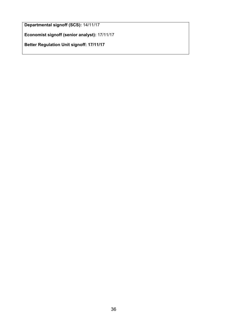**Departmental signoff (SCS):** 14/11/17

**Economist signoff (senior analyst):** 17/11/17

**Better Regulation Unit signoff: 17/11/17**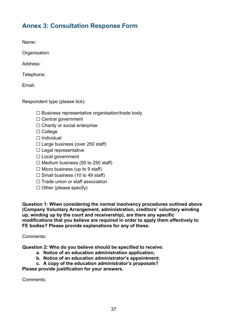# <span id="page-36-0"></span>**Annex 3: Consultation Response Form**

Name:

Organisation:

Address:

Telephone:

Email:

Respondent type (please tick):

 $\Box$  Business representative organisation/trade body

- ☐ Central government
- □ Charity or social enterprise
- ☐ College
- ☐ Individual
- $\Box$  Large business (over 250 staff)
- ☐ Legal representative
- □ Local government
- $\Box$  Medium business (50 to 250 staff)
- $\Box$  Micro business (up to 9 staff)
- $\Box$  Small business (10 to 49 staff)
- □ Trade union or staff association
- ☐ Other (please specify)

**Question 1: When considering the normal insolvency procedures outlined above (Company Voluntary Arrangement, administration, creditors' voluntary winding up, winding up by the court and receivership), are there any specific modifications that you believe are required in order to apply them effectively to FE bodies? Please provide explanations for any of these.**

#### Comments:

**Question 2: Who do you believe should be specified to receive:**

- **a. Notice of an education administration application;**
- **b. Notice of an education administrator's appointment;**
- **c. A copy of the education administrator's proposals?**

**Please provide justification for your answers.**

Comments: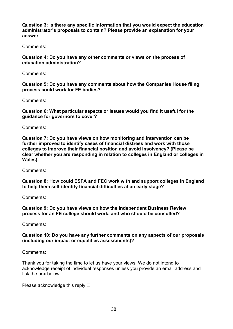**Question 3: Is there any specific information that you would expect the education administrator's proposals to contain? Please provide an explanation for your answer.**

Comments:

**Question 4: Do you have any other comments or views on the process of education administration?**

Comments:

**Question 5: Do you have any comments about how the Companies House filing process could work for FE bodies?**

Comments:

**Question 6: What particular aspects or issues would you find it useful for the guidance for governors to cover?**

Comments:

**Question 7: Do you have views on how monitoring and intervention can be further improved to identify cases of financial distress and work with those colleges to improve their financial position and avoid insolvency? (Please be clear whether you are responding in relation to colleges in England or colleges in Wales).**

Comments:

**Question 8: How could ESFA and FEC work with and support colleges in England to help them self-identify financial difficulties at an early stage?**

Comments:

**Question 9: Do you have views on how the Independent Business Review process for an FE college should work, and who should be consulted?**

Comments:

#### **Question 10: Do you have any further comments on any aspects of our proposals (including our impact or equalities assessments)?**

Comments:

Thank you for taking the time to let us have your views. We do not intend to acknowledge receipt of individual responses unless you provide an email address and tick the box below.

Please acknowledge this reply  $\Box$